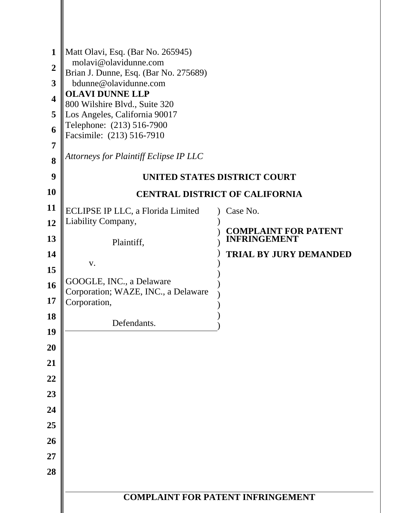| 1<br>$\overline{2}$<br>3<br>4<br>5<br>6 | Matt Olavi, Esq. (Bar No. 265945)<br>molavi@olavidunne.com<br>Brian J. Dunne, Esq. (Bar No. 275689)<br>bdunne@olavidunne.com<br><b>OLAVI DUNNE LLP</b><br>800 Wilshire Blvd., Suite 320<br>Los Angeles, California 90017<br>Telephone: (213) 516-7900 |                                                    |  |
|-----------------------------------------|-------------------------------------------------------------------------------------------------------------------------------------------------------------------------------------------------------------------------------------------------------|----------------------------------------------------|--|
| 7                                       | Facsimile: (213) 516-7910                                                                                                                                                                                                                             |                                                    |  |
| 8                                       | Attorneys for Plaintiff Eclipse IP LLC                                                                                                                                                                                                                |                                                    |  |
| 9                                       |                                                                                                                                                                                                                                                       | UNITED STATES DISTRICT COURT                       |  |
| <b>10</b>                               |                                                                                                                                                                                                                                                       | <b>CENTRAL DISTRICT OF CALIFORNIA</b>              |  |
| 11                                      | ECLIPSE IP LLC, a Florida Limited                                                                                                                                                                                                                     | Case No.                                           |  |
| 12<br>13                                | Liability Company,<br>Plaintiff,                                                                                                                                                                                                                      | <b>COMPLAINT FOR PATENT</b><br><b>INFRINGEMENT</b> |  |
| 14<br>15                                | V.                                                                                                                                                                                                                                                    | <b>TRIAL BY JURY DEMANDED</b>                      |  |
| 16                                      | GOOGLE, INC., a Delaware<br>Corporation; WAZE, INC., a Delaware                                                                                                                                                                                       |                                                    |  |
| 17<br>18                                | Corporation,<br>Defendants.                                                                                                                                                                                                                           |                                                    |  |
| 19                                      |                                                                                                                                                                                                                                                       |                                                    |  |
| 20<br>21                                |                                                                                                                                                                                                                                                       |                                                    |  |
| 22                                      |                                                                                                                                                                                                                                                       |                                                    |  |
| 23                                      |                                                                                                                                                                                                                                                       |                                                    |  |
| 24                                      |                                                                                                                                                                                                                                                       |                                                    |  |
| 25                                      |                                                                                                                                                                                                                                                       |                                                    |  |
| 26                                      |                                                                                                                                                                                                                                                       |                                                    |  |
| 27                                      |                                                                                                                                                                                                                                                       |                                                    |  |
| 28                                      |                                                                                                                                                                                                                                                       |                                                    |  |
|                                         | <b>COMPLAINT FOR PATENT INFRINGEMENT</b>                                                                                                                                                                                                              |                                                    |  |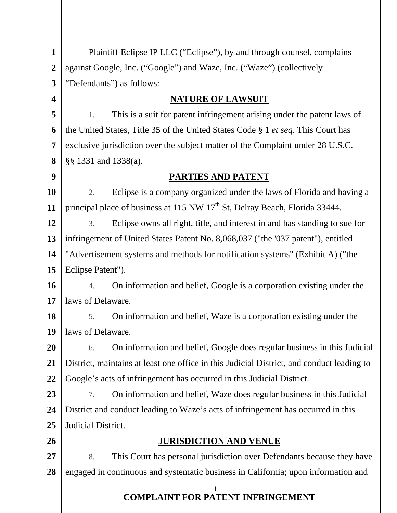| $\mathbf{1}$            | Plaintiff Eclipse IP LLC ("Eclipse"), by and through counsel, complains                   |  |  |
|-------------------------|-------------------------------------------------------------------------------------------|--|--|
| $\boldsymbol{2}$        | against Google, Inc. ("Google") and Waze, Inc. ("Waze") (collectively                     |  |  |
| 3                       | "Defendants") as follows:                                                                 |  |  |
| $\overline{\mathbf{4}}$ | <b>NATURE OF LAWSUIT</b>                                                                  |  |  |
| 5                       | This is a suit for patent infringement arising under the patent laws of<br>1.             |  |  |
| 6                       | the United States, Title 35 of the United States Code § 1 <i>et seq</i> . This Court has  |  |  |
| $\overline{7}$          | exclusive jurisdiction over the subject matter of the Complaint under 28 U.S.C.           |  |  |
| 8                       | §§ 1331 and 1338(a).                                                                      |  |  |
| 9                       | <b>PARTIES AND PATENT</b>                                                                 |  |  |
| 10                      | Eclipse is a company organized under the laws of Florida and having a<br>2.               |  |  |
| 11                      | principal place of business at 115 NW 17 <sup>th</sup> St, Delray Beach, Florida 33444.   |  |  |
| 12                      | Eclipse owns all right, title, and interest in and has standing to sue for<br>3.          |  |  |
| 13                      | infringement of United States Patent No. 8,068,037 ("the '037 patent"), entitled          |  |  |
| 14                      | "Advertisement systems and methods for notification systems" (Exhibit A) ("the            |  |  |
| 15                      | Eclipse Patent").                                                                         |  |  |
| 16                      | On information and belief, Google is a corporation existing under the<br>4.               |  |  |
| 17                      | laws of Delaware.                                                                         |  |  |
| 18                      | On information and belief, Waze is a corporation existing under the<br>5.                 |  |  |
| 19                      | laws of Delaware.                                                                         |  |  |
| <b>20</b>               | On information and belief, Google does regular business in this Judicial<br>6.            |  |  |
| 21                      | District, maintains at least one office in this Judicial District, and conduct leading to |  |  |
| 22                      | Google's acts of infringement has occurred in this Judicial District.                     |  |  |
| 23                      | On information and belief, Waze does regular business in this Judicial<br>7.              |  |  |
| 24                      | District and conduct leading to Waze's acts of infringement has occurred in this          |  |  |
| 25                      | Judicial District.                                                                        |  |  |
| 26                      | <u>JURISDICTION AND VENUE</u>                                                             |  |  |
| <b>27</b>               | This Court has personal jurisdiction over Defendants because they have<br>8.              |  |  |
| 28                      | engaged in continuous and systematic business in California; upon information and         |  |  |
|                         | <b>COMPLAINT FOR PATENT INFRINGEMENT</b>                                                  |  |  |
|                         |                                                                                           |  |  |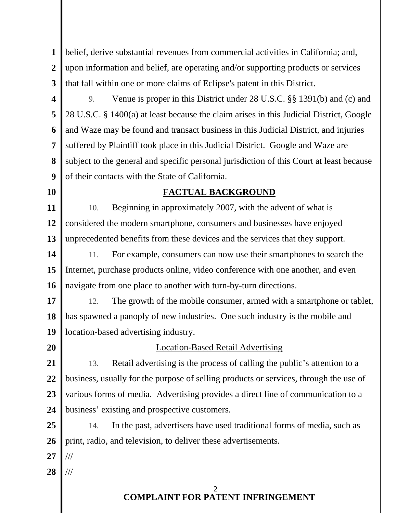| $\mathbf{1}$            | belief, derive substantial revenues from commercial activities in California; and,       |  |
|-------------------------|------------------------------------------------------------------------------------------|--|
| $\overline{2}$          | upon information and belief, are operating and/or supporting products or services        |  |
| 3                       | that fall within one or more claims of Eclipse's patent in this District.                |  |
| $\overline{\mathbf{4}}$ | Venue is proper in this District under 28 U.S.C. §§ 1391(b) and (c) and<br>9.            |  |
| 5                       | 28 U.S.C. § 1400(a) at least because the claim arises in this Judicial District, Google  |  |
| 6                       | and Waze may be found and transact business in this Judicial District, and injuries      |  |
| 7                       | suffered by Plaintiff took place in this Judicial District. Google and Waze are          |  |
| 8                       | subject to the general and specific personal jurisdiction of this Court at least because |  |
| 9                       | of their contacts with the State of California.                                          |  |
| <b>10</b>               | <b>FACTUAL BACKGROUND</b>                                                                |  |
| <b>11</b>               | Beginning in approximately 2007, with the advent of what is<br>10.                       |  |
| 12                      | considered the modern smartphone, consumers and businesses have enjoyed                  |  |
| 13                      | unprecedented benefits from these devices and the services that they support.            |  |
| 14                      | For example, consumers can now use their smartphones to search the<br>11.                |  |
| 15                      | Internet, purchase products online, video conference with one another, and even          |  |
| <b>16</b>               | navigate from one place to another with turn-by-turn directions.                         |  |
| 17                      | The growth of the mobile consumer, armed with a smartphone or tablet,<br>12.             |  |
| 18                      | has spawned a panoply of new industries. One such industry is the mobile and             |  |
| 19                      | location-based advertising industry.                                                     |  |
| 20                      | <b>Location-Based Retail Advertising</b>                                                 |  |
| 21                      | Retail advertising is the process of calling the public's attention to a<br>13.          |  |
| 22                      | business, usually for the purpose of selling products or services, through the use of    |  |
| 23                      | various forms of media. Advertising provides a direct line of communication to a         |  |
| 24                      | business' existing and prospective customers.                                            |  |
| 25                      | In the past, advertisers have used traditional forms of media, such as<br>14.            |  |
| 26                      | print, radio, and television, to deliver these advertisements.                           |  |
| 27                      |                                                                                          |  |
| 28                      |                                                                                          |  |
|                         |                                                                                          |  |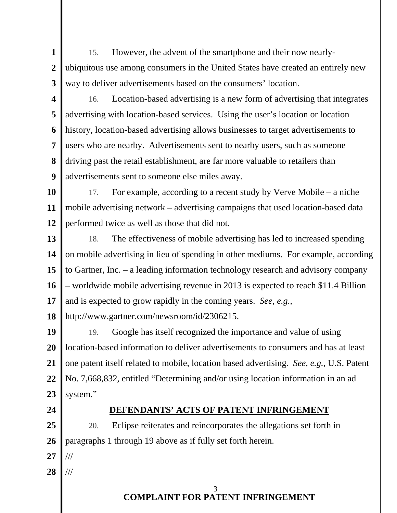**1 1 2 2 3 3** 15. However, the advent of the smartphone and their now nearlyubiquitous use among consumers in the United States have created an entirely new way to deliver advertisements based on the consumers' location.

- **4 4 5 5 6 6 7 7 8 8 9 9** 16. Location-based advertising is a new form of advertising that integrates advertising with location-based services. Using the user's location or location history, location-based advertising allows businesses to target advertisements to users who are nearby. Advertisements sent to nearby users, such as someone driving past the retail establishment, are far more valuable to retailers than advertisements sent to someone else miles away.
- **10 10 11 11 12 12** 17. For example, according to a recent study by Verve Mobile – a niche mobile advertising network – advertising campaigns that used location-based data performed twice as well as those that did not.
- **13 13 14 14 15 15 16 16 17 17** 18. The effectiveness of mobile advertising has led to increased spending on mobile advertising in lieu of spending in other mediums. For example, according to Gartner, Inc. – a leading information technology research and advisory company – worldwide mobile advertising revenue in 2013 is expected to reach \$11.4 Billion and is expected to grow rapidly in the coming years. *See, e.g.*,

**18 18** http://www.gartner.com/newsroom/id/2306215.

**19 19 20 20 21 21 22 22 23 23** 19. Google has itself recognized the importance and value of using location-based information to deliver advertisements to consumers and has at least one patent itself related to mobile, location based advertising. *See, e.g.*, U.S. Patent No. 7,668,832, entitled "Determining and/or using location information in an ad system."

**24 24**

# **DEFENDANTS' ACTS OF PATENT INFRINGEMENT**

**25 25 26 26** 20. Eclipse reiterates and reincorporates the allegations set forth in paragraphs 1 through 19 above as if fully set forth herein.

- **27 27** ///
- **28 28** ///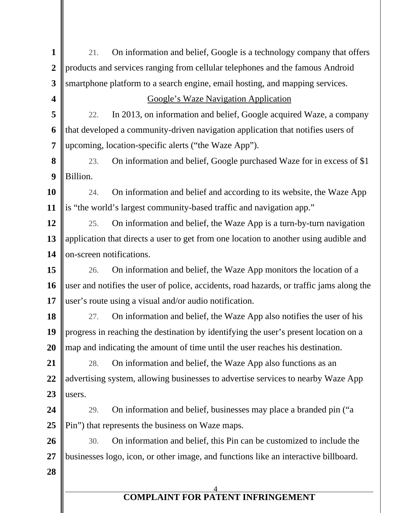| $\mathbf{1}$            | On information and belief, Google is a technology company that offers<br>21.             |  |  |
|-------------------------|------------------------------------------------------------------------------------------|--|--|
| $\boldsymbol{2}$        | products and services ranging from cellular telephones and the famous Android            |  |  |
| 3                       | smartphone platform to a search engine, email hosting, and mapping services.             |  |  |
| $\overline{\mathbf{4}}$ | <b>Google's Waze Navigation Application</b>                                              |  |  |
| 5                       | In 2013, on information and belief, Google acquired Waze, a company<br>22.               |  |  |
| 6                       | that developed a community-driven navigation application that notifies users of          |  |  |
| $\overline{7}$          | upcoming, location-specific alerts ("the Waze App").                                     |  |  |
| 8                       | On information and belief, Google purchased Waze for in excess of \$1<br>23.             |  |  |
| 9                       | Billion.                                                                                 |  |  |
| 10                      | On information and belief and according to its website, the Waze App<br>24.              |  |  |
| 11                      | is "the world's largest community-based traffic and navigation app."                     |  |  |
| 12                      | On information and belief, the Waze App is a turn-by-turn navigation<br>25.              |  |  |
| 13                      | application that directs a user to get from one location to another using audible and    |  |  |
| 14                      | on-screen notifications.                                                                 |  |  |
| 15                      | On information and belief, the Waze App monitors the location of a<br>26.                |  |  |
| 16                      | user and notifies the user of police, accidents, road hazards, or traffic jams along the |  |  |
| 17                      | user's route using a visual and/or audio notification.                                   |  |  |
| 18                      | On information and belief, the Waze App also notifies the user of his<br>27.             |  |  |
| 19                      | progress in reaching the destination by identifying the user's present location on a     |  |  |
| 20                      | map and indicating the amount of time until the user reaches his destination.            |  |  |
| 21                      | On information and belief, the Waze App also functions as an<br>28.                      |  |  |
| 22                      | advertising system, allowing businesses to advertise services to nearby Waze App         |  |  |
| 23                      | users.                                                                                   |  |  |
| 24                      | On information and belief, businesses may place a branded pin ("a<br>29.                 |  |  |
| 25                      | Pin") that represents the business on Waze maps.                                         |  |  |
| 26                      | On information and belief, this Pin can be customized to include the<br>30.              |  |  |
| 27                      | businesses logo, icon, or other image, and functions like an interactive billboard.      |  |  |
| 28                      |                                                                                          |  |  |
|                         |                                                                                          |  |  |
|                         | <b>COMPLAINT FOR PATENT INFRINGEMENT</b>                                                 |  |  |
|                         |                                                                                          |  |  |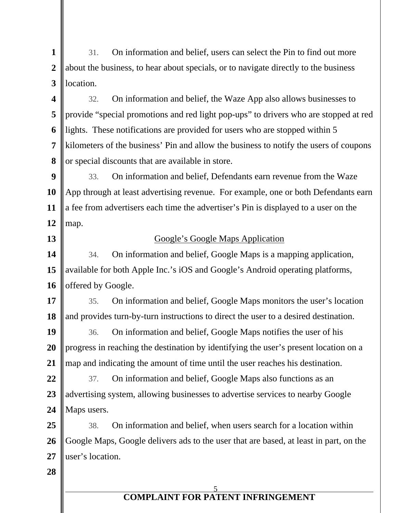**1 1 2 2 3 3** 31. On information and belief, users can select the Pin to find out more about the business, to hear about specials, or to navigate directly to the business location.

**4 4 5 5 6 6 7 7 8 8** 32. On information and belief, the Waze App also allows businesses to provide "special promotions and red light pop-ups" to drivers who are stopped at red lights. These notifications are provided for users who are stopped within 5 kilometers of the business' Pin and allow the business to notify the users of coupons or special discounts that are available in store.

**9 9 10 10 11 11 12 12** 33. On information and belief, Defendants earn revenue from the Waze App through at least advertising revenue. For example, one or both Defendants earn a fee from advertisers each time the advertiser's Pin is displayed to a user on the map.

**13 13**

## Google's Google Maps Application

**14 14 15 15 16 16** 34. On information and belief, Google Maps is a mapping application, available for both Apple Inc.'s iOS and Google's Android operating platforms, offered by Google.

**17 17 18 18** 35. On information and belief, Google Maps monitors the user's location and provides turn-by-turn instructions to direct the user to a desired destination.

**19 19 20 20 21 21** 36. On information and belief, Google Maps notifies the user of his progress in reaching the destination by identifying the user's present location on a map and indicating the amount of time until the user reaches his destination.

**22 22 23 23 24 24** 37. On information and belief, Google Maps also functions as an advertising system, allowing businesses to advertise services to nearby Google Maps users.

**25 25 26 26 27 27** 38. On information and belief, when users search for a location within Google Maps, Google delivers ads to the user that are based, at least in part, on the user's location.

**28 28**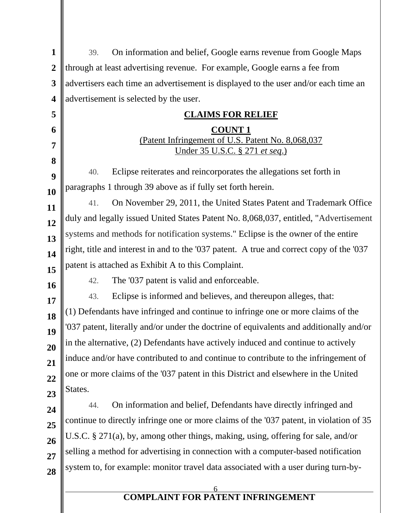| $\mathbf{1}$            | On information and belief, Google earns revenue from Google Maps<br>39.                    |  |  |
|-------------------------|--------------------------------------------------------------------------------------------|--|--|
| $\overline{2}$          | through at least advertising revenue. For example, Google earns a fee from                 |  |  |
| 3                       | advertisers each time an advertisement is displayed to the user and/or each time an        |  |  |
| $\overline{\mathbf{4}}$ | advertisement is selected by the user.                                                     |  |  |
| 5                       | <b>CLAIMS FOR RELIEF</b>                                                                   |  |  |
| 6                       | <b>COUNT1</b>                                                                              |  |  |
| 7                       | (Patent Infringement of U.S. Patent No. 8,068,037<br><u>Under 35 U.S.C. § 271 et seq.)</u> |  |  |
| 8                       |                                                                                            |  |  |
| 9                       | Eclipse reiterates and reincorporates the allegations set forth in<br>40.                  |  |  |
| 10                      | paragraphs 1 through 39 above as if fully set forth herein.                                |  |  |
| 11                      | On November 29, 2011, the United States Patent and Trademark Office<br>41.                 |  |  |
| 12                      | duly and legally issued United States Patent No. 8,068,037, entitled, "Advertisement       |  |  |
| 13                      | systems and methods for notification systems." Eclipse is the owner of the entire          |  |  |
| 14                      | right, title and interest in and to the '037 patent. A true and correct copy of the '037   |  |  |
| 15                      | patent is attached as Exhibit A to this Complaint.                                         |  |  |
| 16                      | The '037 patent is valid and enforceable.<br>42.                                           |  |  |
| 17                      | Eclipse is informed and believes, and thereupon alleges, that:<br>43.                      |  |  |
| 18                      | (1) Defendants have infringed and continue to infringe one or more claims of the           |  |  |
| 19                      | '037 patent, literally and/or under the doctrine of equivalents and additionally and/or    |  |  |
| 20                      | in the alternative, (2) Defendants have actively induced and continue to actively          |  |  |
| 21                      | induce and/or have contributed to and continue to contribute to the infringement of        |  |  |
| 22                      | one or more claims of the '037 patent in this District and elsewhere in the United         |  |  |
| 23                      | States.                                                                                    |  |  |
| 24                      | On information and belief, Defendants have directly infringed and<br>44.                   |  |  |
| 25                      | continue to directly infringe one or more claims of the '037 patent, in violation of 35    |  |  |
| 26                      | U.S.C. § 271(a), by, among other things, making, using, offering for sale, and/or          |  |  |
| 27                      | selling a method for advertising in connection with a computer-based notification          |  |  |
| 28                      | system to, for example: monitor travel data associated with a user during turn-by-         |  |  |
|                         |                                                                                            |  |  |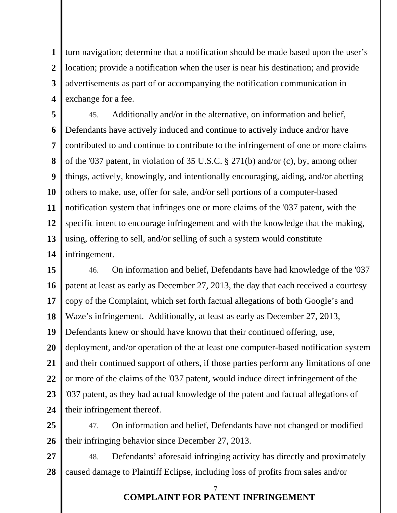**1 1 2 2 3 3 4 4** turn navigation; determine that a notification should be made based upon the user's location; provide a notification when the user is near his destination; and provide advertisements as part of or accompanying the notification communication in exchange for a fee.

**5 5 6 6 7 7 8 8 9 9 10 10 11 11 12 12 13 13 14 14** 45. Additionally and/or in the alternative, on information and belief, Defendants have actively induced and continue to actively induce and/or have contributed to and continue to contribute to the infringement of one or more claims of the '037 patent, in violation of 35 U.S.C. § 271(b) and/or (c), by, among other things, actively, knowingly, and intentionally encouraging, aiding, and/or abetting others to make, use, offer for sale, and/or sell portions of a computer-based notification system that infringes one or more claims of the '037 patent, with the specific intent to encourage infringement and with the knowledge that the making, using, offering to sell, and/or selling of such a system would constitute infringement.

**15 15 16 16 17 17 18 18 19 19 20 20 21 21 22 22 23 23 24 24** 46. On information and belief, Defendants have had knowledge of the '037 patent at least as early as December 27, 2013, the day that each received a courtesy copy of the Complaint, which set forth factual allegations of both Google's and Waze's infringement. Additionally, at least as early as December 27, 2013, Defendants knew or should have known that their continued offering, use, deployment, and/or operation of the at least one computer-based notification system and their continued support of others, if those parties perform any limitations of one or more of the claims of the '037 patent, would induce direct infringement of the '037 patent, as they had actual knowledge of the patent and factual allegations of their infringement thereof.

**25 25 26 26** 47. On information and belief, Defendants have not changed or modified their infringing behavior since December 27, 2013.

**27 27 28 28** 48. Defendants' aforesaid infringing activity has directly and proximately caused damage to Plaintiff Eclipse, including loss of profits from sales and/or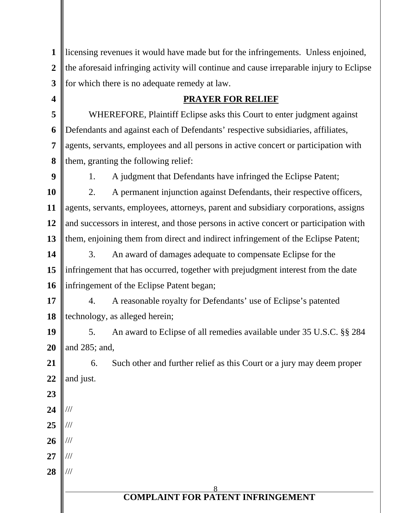| $\mathbf{1}$   | licensing revenues it would have made but for the infringements. Unless enjoined,       |                                                                                       |
|----------------|-----------------------------------------------------------------------------------------|---------------------------------------------------------------------------------------|
| $\overline{2}$ | the aforesaid infringing activity will continue and cause irreparable injury to Eclipse |                                                                                       |
| 3              |                                                                                         | for which there is no adequate remedy at law.                                         |
| 4              |                                                                                         | <b>PRAYER FOR RELIEF</b>                                                              |
| 5              |                                                                                         | WHEREFORE, Plaintiff Eclipse asks this Court to enter judgment against                |
| 6              |                                                                                         | Defendants and against each of Defendants' respective subsidiaries, affiliates,       |
| 7              |                                                                                         | agents, servants, employees and all persons in active concert or participation with   |
| 8              |                                                                                         | them, granting the following relief:                                                  |
| 9              | 1.                                                                                      | A judgment that Defendants have infringed the Eclipse Patent;                         |
| 10             | 2.                                                                                      | A permanent injunction against Defendants, their respective officers,                 |
| 11             |                                                                                         | agents, servants, employees, attorneys, parent and subsidiary corporations, assigns   |
| 12             |                                                                                         | and successors in interest, and those persons in active concert or participation with |
| 13             |                                                                                         | them, enjoining them from direct and indirect infringement of the Eclipse Patent;     |
| 14             | 3.                                                                                      | An award of damages adequate to compensate Eclipse for the                            |
| 15             |                                                                                         | infringement that has occurred, together with prejudgment interest from the date      |
| 16             |                                                                                         | infringement of the Eclipse Patent began;                                             |
| 17             | 4.                                                                                      | A reasonable royalty for Defendants' use of Eclipse's patented                        |
| 18             |                                                                                         | technology, as alleged herein;                                                        |
| 19             | 5.                                                                                      | An award to Eclipse of all remedies available under 35 U.S.C. §§ 284                  |
| 20             | and 285; and,                                                                           |                                                                                       |
| 21             | 6.                                                                                      | Such other and further relief as this Court or a jury may deem proper                 |
| 22             | and just.                                                                               |                                                                                       |
| 23             |                                                                                         |                                                                                       |
| 24             |                                                                                         |                                                                                       |
| 25             |                                                                                         |                                                                                       |
| 26             |                                                                                         |                                                                                       |
| 27             |                                                                                         |                                                                                       |
| 28             |                                                                                         |                                                                                       |
|                | 8<br><b>COMPLAINT FOR PATENT INFRINGEMENT</b>                                           |                                                                                       |
|                |                                                                                         |                                                                                       |

║